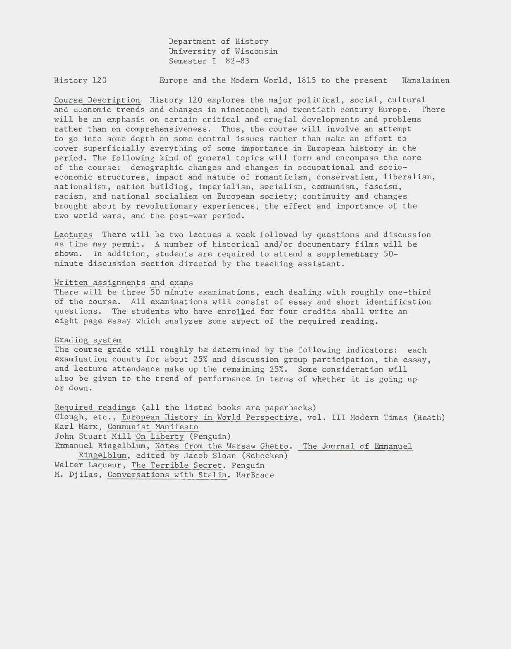Department of History University of Wisconsin Semester I 82-83

History 120 Europe and the Modern World, 1815 to the present Hamalainen

Course Description History 120 explores the major political, social, cultural and economic trends and changes in nineteenth and twentieth century Europe. There will be an emphasis on certain critical and crucial developments and problems rather than on comprehensiveness. Thus, the course will involve an attempt to go into some depth on some central issues rather than make an effort to cover superficially everything of some importance in European history in the period. The following kind of general topics will form and encompass the core of the course: demographic changes and changes in occupational and socioeconomic structures, impact and nature of romanticism, conservatism, liberalism, nationalism, nation building, imperialism, socialism, communism, fascism, racism, and national socialism on European society; continuity and changes brought about by revolutionary experiences; the effect and importance of the two world wars, and the post-war period.

Lectures There will be two lectues a week followed by questions and discussion as time may permit. A number of historical and/or documentary films will be shown. In addition, students are required to attend a supplementary 50 minute discussion section directed by the teaching assistant.

## Written assignments and exams

There will be three 50 minute examinations, each dealing. with roughly one-third of the course. All examinations will consist of essay and short identification questions. The students who have enrolled for four credits shall write an eight page essay which analyzes some aspect of the required reading.

## Grading system

The course grade will roughly be determined by the following indicators: each examination counts for about 25% and discussion group participation, the essay, and lecture attendance make up the remaining 25%. Some consideration will also be given to the trend of performance in terms of whether it is going up or down.

Required readings (all the listed books are paperbacks) Clough, etc., European History in World Perspective, vol. III Modern Times (Heath) Karl Marx , Communist Manifesto John Stuart Mill On Liberty (Penguin) Emmanuel Ringelblum, Notes from the Warsaw Ghetto. The Journal of Emmanuel Ringelblum, edited by Jacob Sloan (Schocken) Walter Laqueur, The Terrible Secret. Penguin M. Djilas, Conversations with Stalin. HarBrace